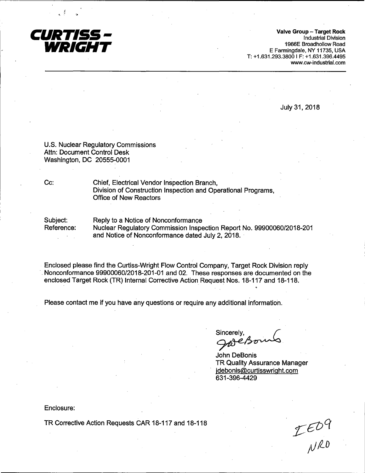

**Valve Group** - **Target Rock**  Industrial Division 1966E Broadhollow Road E Farmingdale, NY 11735, USA T: +1.631.293.3800 I F: +1.631.396.4495 www.cw-industrial.com

July 31, 2018

U.S. Nuclear Regulatory Commissions Attn: Document Control Desk Washington, DC 20555~0001

Cc: Chief, Electrical Vendor Inspection Branch, Division of Construction Inspection and Operational Programs, Office of New Reactors

Subject: Reference: Reply to a Notice of Nonconformance Nuclear Regulatory Commission Inspection Report No. 99900060/2018-201 and Notice of Nonconformance dated July 2, 2018.

Enclosed please find the Curtiss-Wright Flow Control Company, Target Rock Division reply Nonconformance 99900060/2018-201-01 and 02. These responses are documented on the enclosed Target Rock (TR) Internal Corrective Action Request Nos. 18-117 and 18-118.

Please contact me if you have any questions or require any additional information.

Sincerely,<br>Jare Boung

John DeBonis TR Quality Assurance Manager jdebonis@curtisswright.com 631-396-4429

Enclosure:

TR Corrective Action Requests CAR 18-117 and 18-118

 $TE^{09}$ NRD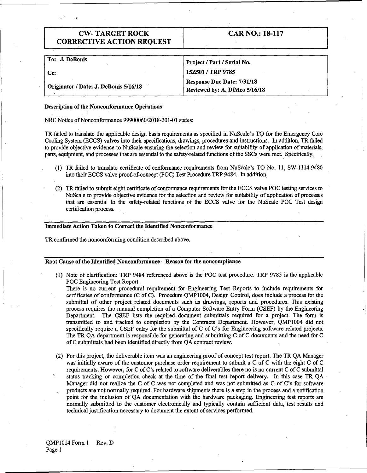. >

# CAR NO.: 18-117

| To: J. DeBonis                        | Project / Part / Serial No.                                        |
|---------------------------------------|--------------------------------------------------------------------|
| Cc:                                   | 15Z501 / TRP 9785                                                  |
| Originator / Date: J. DeBonis 5/16/18 | <b>Response Due Date: 7/31/18</b><br>Reviewed by: A. DiMeo 5/16/18 |

#### **Description of the Nonconformance Operations**

NRC Notice of Nonconformance 99900060/2018-201-01 states:

TR failed to translate the applicable design basis requirements as specified in NuScale's TO for the Emergency Core Cooling System (ECCS) valves into their specifications, drawings, procedures and instructions. In addition,. TR failed to provide objective evidence to NuScale ensuring the selection and review for suitability of application of materials, parts, equipment, and processes that are essential to the safety-related functions of the SSCs were met.. Specifically,

- (1) TR failed to translate certificate of conformance requirements from·NuScale's TO No. 11, SW-1114-9480 into their ECCS valve proof-of-concept (POC) Test Procedure TRP 9484. In addition,
- (2) TR failed to submit eight certificate of conformance requirements for the ECCS valve POC testing services to NuScale to provide objective evidence for the selection and review for suitability of application of processes that. are essential to the safety-related functions of the ECCS valve for the NuScale POC Test design certification process.

## **Immediate Action Taken to Correct the Identified Nonconformance**

TR confirmed the nonconforming condition described above.

#### Root Cause of the Identified Nonconformance – Reason for the noncompliance

(1) Note of clarification: TRP 9484 referenced above is the POC test procedure. TRP 9785 is the applicable POC Engineering Test Report.

There is no current procedural requirement for Engineering Test Reports to include requirements for certificates of conformance (C of C). Procedure QMP 1004, Design Control, does include a process for the submittal of other project related documents such as drawings, reports and procedures. This existing process requires the manual completion of a Computer Software Entry Form (CSEF) by the Engineering Department. The CSEF lists the required document submittals required for a project. The form is transmitted to and tracked to completion by the Contracts Department. However, QMP1004 did not specifically require a CSEF entry for the submittal of C of C's for Engineering software related projects. The TR QA department is responsible for generating and submitting C of C documents and the need for C ofC submittals had been identified directly from QA contract review.

(2) For this project, the deliverable item was an engineering proof of concept test report. The TR QA Manager was initially aware of the customer purchase order requirement to submit a C of C with the eight C of C requirements. However, for C of C's related to software deliverables there no is no current C of C submittal status tracking or completion check at the time of the final test report delivery. In this case TR QA Manager did not realize the C of C was not completed and was not submitted as C of C's for software products are not normally required. For hardware shipments there is a step in the process and a notification point for the inclusion of QA documentation with the hardware packaging. Engineering test reports are normally submitted to the customer electronically and typically contain sufficient data, test results and technical justification necessary to document the extent of services performed.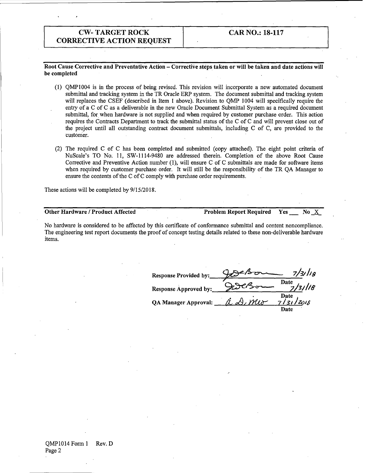# **CAR NO.: 18-117**

**Root Cause Corrective and Preventative Action** - **Corrective steps taken or will be taken and date actions will be completed** 

- (1) QMP1004 is in the process of being revised. This revision will incorporate a new automated document submittal and tracking system in the TR Oracle ERP system. The document submittal and tracking system will replaces the CSEF (described in Item 1 above). Revision to QMP 1004 will specifically require the entry of a C of C as a deliverable in the new Oracle Document Submittal System as a required document submittal, for when hardware is not supplied and when required by customer purchase order. This action requires the Contracts Department to track the submittal status of the C of C and will prevent close out of the project until all outstanding contract document submittals, including C of C, are provided to the customer.
- (2) The required C of C has been completed and submitted (copy attached). The eight point criteria of NuScale's TO No: 11, SW-1114-9480 are addressed therein. Completion of the above Root Cause Corrective and Preventive Action number (1), will ensure C of C submittals are made for software items when required by customer purchase order. It will still be the responsibility of the TR OA Manager to ensure the contents of the C of C comply with purchase order requirements.

These actions will be completed by  $9/15/2018$ .

## **Other Hardware / Product Affected Problem Report Required Yes No X**

No hardware is considered to be affected by this certificate of conformance submittal and content noncompliance. The engineering test report documents the proof of concept testing details related to these non-deliverable hardware items.

| <b>Response Provided by:</b> | 7/3/1/g                                    |
|------------------------------|--------------------------------------------|
| <b>Response Approved by:</b> | Date<br>13/118                             |
| <b>QA Manager Approval:</b>  | Date<br>a D. meo<br><u>7   3     Zv</u> ig |
|                              | Date                                       |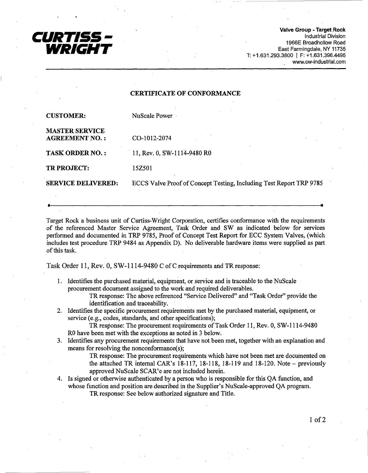

**Valve Group** • **Target.Rock**  Industrial Division 1966E Broadhollow Road East Farmingdale, NY 11735 T: +1.631.293.3800 I F: +1.631.396.4495 www.cw-industrial.com

## **CERTIFICATE OF CONFORMANCE**

| <b>CUSTOMER:</b>                               | NuScale Power                                                       |
|------------------------------------------------|---------------------------------------------------------------------|
| <b>MASTER SERVICE</b><br><b>AGREEMENT NO.:</b> | CO-1012-2074                                                        |
| <b>TASK ORDER NO.:</b>                         | 11, Rev. 0, SW-1114-9480 R0                                         |
| TR PROJECT:                                    | 15Z501                                                              |
| <b>SERVICE DELIVERED:</b>                      | ECCS Valve Proof of Concept Testing, Including Test Report TRP 9785 |
|                                                |                                                                     |

Target Rock a business unit of Curtiss-Wright Corporation, certifies conformance with the requirements of the referenced Master Service Agreement, Task Order and SW as indicated below for services performed and documented in TRP 9785, Proof of Concept Test Report for ECC System Valves, (which includes test procedure TRP 9484 as Appendix D). No deliverable hardware items were supplied as part of this task.

Task Order 11, Rev. 0, SW-1114-9480 C of C requirements and TR response:

1. Identifies the purchased material, equipment, or service and is traceable to the NuScale procurement document assigned to the work and required deliverables.

TR response: The above referenced "Service Delivered" and "Task Order" provide the identification and traceability.

2. Identifies the specific procurement requirements met by the purchased material, equipment, or service (e.g., codes, standards, and other specifications);

TR response: The procurement requirements of Task Order 11, Rev. 0, SW-1114-9480 RO have been met with the exceptions as noted in 3 below.

3. Identifies any procurement requirements that have not been met, together with an explanation and means for resolving the nonconformance(s);

> TR response: The procurement requirements which have not beeri met are documented on the attached TR internal CAR's  $18-117$ ,  $18-118$ ,  $18-119$  and  $18-120$ . Note – previously approved NuScale SCAR'e are not included herein.

4. Is signed or otherwise authenticated by a person who is responsible for this QA function, and whose function and position are described in the Supplier's NuScale-approved QA program. TR response: See below authorized signature and Title.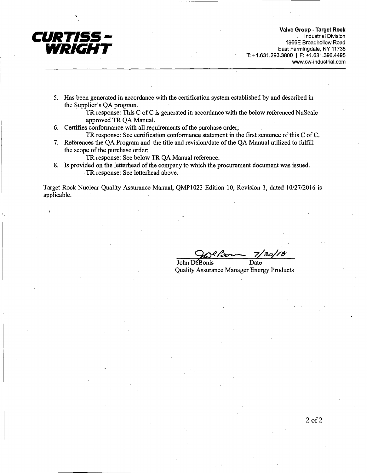

**Valve Group - Target Rock**  . Industrial Division 1966E Broadhollow Road East Farmingdale, NY 11735 T: +1.631.293.3800 I F: +1.631.396.4495 www.cw-industrial.com

5. Has been generated in accordance with the certification system established by and described in the Supplier's QA program.

> TR response: This C of C is generated in accordance with the below referenced NuScale approved TR QA Manual.

- 6. Certifies conformance with all requirements of the purchase order;
	- TR response: See certification conformance statement in the first sentence of this C of C.
- 7. References the QA Program and the title and revision/date of the QA Manual utilized to fulfill the scope of the purchase order;

TR response: See below TR QA Manual reference.

8. Is provided on the letterhead of the company to which the procurement document was issued. TR response: See letterhead above.

Target Rock Nuclear Quality Assurance Manual, QMP1023 Edition 10, Revision 1, dated 10/27/2016 is applicable.

John DeBonis Date Quality Assurance Manager Energy Products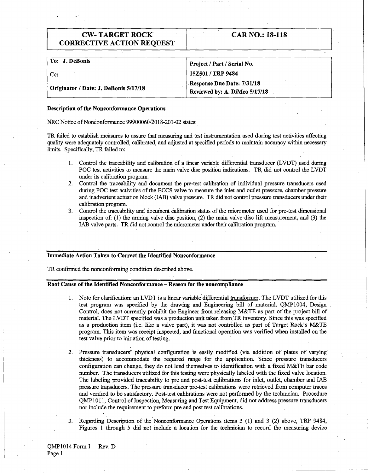| <b>CW-TARGET ROCK</b><br><b>CORRECTIVE ACTION REQUEST</b> | <b>CAR NO.: 18-118</b>        |
|-----------------------------------------------------------|-------------------------------|
|                                                           |                               |
| To: J. DeBonis                                            | Project / Part / Serial No.   |
| $Cc$ :                                                    | 15Z501 / TRP 9484             |
| Originator / Date: J. DeBonis 5/17/18                     | Response Due Date: 7/31/18    |
|                                                           | Reviewed by: A. DiMeo 5/17/18 |

#### **Description of the Nonconformance Operations**

NRC Notice of Nonconformance 99900060/2018-201-02 states:

TR failed to establish measures to assure that measuring and test instrumentation used during test activities affecting quality were adequately controlled, calibrated, and adjusted at specified periods to maintain accuracy within necessary limits. Specifically, TR failed to:

- 1. Control the traceability and calibration of a linear variable differential transducer (LVDT) used during POC test activities to measure the main valve disc position indications. TR did not control the LVDT under its calibration program.
- 2. Control the traceability and document the pre-test calibration of individual pressure transducers used during POC test activities of the ECCS valve to measure the inlet and outlet pressure, chamber pressure and inadvertent actuation block (IAB) valve pressure. TR did not control pressure transducers under their calibration program.
- 3. Control the traceability and document calibration status of the micrometer used for pre-test dimensional inspection of: (1) the arming valve disc position, (2) the main valve disc lift measurement, and (3) the IAB valve parts. TR did not.control the micrometer under their calibration program.

### **Immediate Action Taken to Correct the Identified Nonconformance**

TR confirmed the nonconforming condition described above.

## **Root Cause of the Identified Nonconformance** - **Reason for the noncompliance**

- 1. Note for clarification: an LVDT is a linear variable differential transformer. The LVDT utilized for this test program was specified by the drawing and Engineering bill of material. QMPI004, Design Control, does not currently prohibit the Engineer from releasing M&TE as part of the project bill of material. The LVDT specified was a production unit taken from TR inventory. Since this was specified as a production item (i.e. like a valve part), it was not controlled as part of Target Rock's M&TE program. This item was receipt inspected, and functional operation was verified when installed on the test valve prior to initiation of testing.
- 2. Pressure transducers' physical configuration 1s easily modified (via addition of plates of varying thickness) to accommodate the required range for the application. Since pressure transducers configuration can change, they do not lend themselves to identification with a fixed M&TE bar code number. The transducers utilized for this testing were physically labeled with the fixed valve location. · The labeling provided traceability to pre and post-test calibrations for inlet, outlet, chamber and IAB pressure trapsducers. The pressure transducer pre-test calibrations were retrieved from computer traces and verified to be satisfactory. Post-test calibrations were not performed by the technician. Procedure QMP 1011, Control of Inspection, Measuring and Test Equipment, did not address pressure transducers nor include the requirement to preform pre and post test calibrations.
- 3. Regarding Description of the.Nonconformance Operations items 3 (1) and 3 (2) above, TRP 9484, Figures 1 through 5 did not include a location for the technician to record the measuring device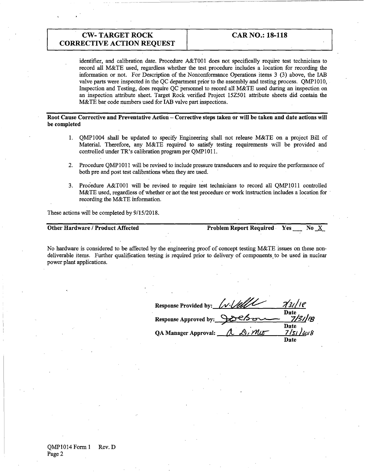identifier, and calibration date. Procedure A&T001 does not specifically require test technicians to record all M&TE used, regardless whether the test procedure includes a location for recording the information or not. For Description of the Nonconformance Operations items 3 (3) above, the IAB valve parts were inspected in the QC department prior to the assembly and testing process. QMP1010, Inspection and Testing, does require QC personnel to record all M&TE used during an inspection on an inspection attribute sheet. Target Rock verified Project 15Z501 attribute sheets did contain the M&TE bar code numbers used for IAB valve part inspections.

**Root Cause Corrective and Preventative Action** - **Corrective steps taken or will be taken and date actions will be completed** 

- 1. QMP1004 shall be updated to specify Engineering shall not release M&TE on a project Bill of Material. Therefore, any M&TE required to satisfy testing requirements will be provided and controlled under TR's calibration program per QMP1011.
- 2. Procedure QMPI011 will be revised to include pressure transducers and to require the performance of both pre and post test calibrations when they are used.
- 3. Procedure A&TOOl will be revised to require test technicians to record all QMP1011 controlled M&TE used, regardless of whether or not the test procedure or work instruction includes a location for recording the M&TE information.

These actions will be completed by 9/15/2018.

**Other Hardware/Product Affected Problem Report Required. Yes No... X.** 

No hardware is considered to be affected by the engineering proof of concept testing M&TE issues on these nondeliverable items. Further qualification testing is required prior to delivery of components to be used in nuclear power plant applications.

| Response Provided by: <u>[N. Vell/</u> |        | 73118                |
|----------------------------------------|--------|----------------------|
| Response Approved by: 9006             |        | Date                 |
| <b>QA Manager Approval:</b>            | a Dimo | Date<br>7/s<br>12018 |
|                                        |        | <b>Date</b>          |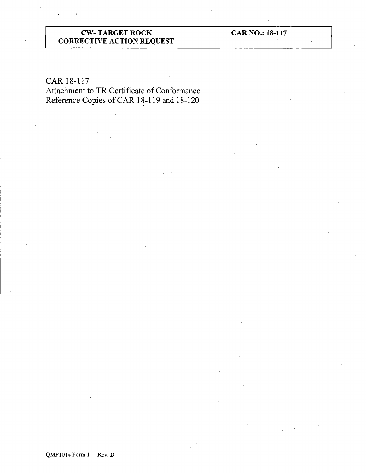**CAR NO.: 18-117** 

# CAR 18-117

Attachment to TR Certificate of Conformance Reference Copies of CAR 18-119 and 18-120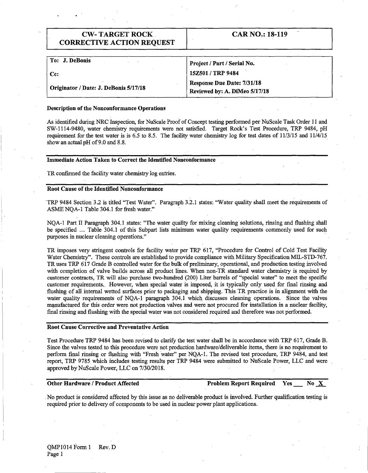| <b>CW-TARGET ROCK</b>            |  |
|----------------------------------|--|
| <b>CORRECTIVE ACTION REQUEST</b> |  |

| Project / Part / Serial No.                                        |
|--------------------------------------------------------------------|
| 15Z501 / TRP 9484                                                  |
| <b>Response Due Date: 7/31/18</b><br>Reviewed by: A. DiMeo 5/17/18 |
|                                                                    |

#### **Description of the Nonconformance Operations**

As identified during NRC Inspection, for NuScale Proof of Concept testing performed per NuScale Task Order 11 and SW-1114-9480, water chemistry requirements were not satisfied. Target Rock's Test Procedure, TRP 9484, pH requirement for the test water is is 6.5 to 8.5. The facility water chemistry log for test dates of 11/3/15 and 11/4/15 show an actual pH of 9.0 and 8.8.

#### **Immediate Action Taken to Correct the Identified Nonconformance**

TR confirmed the facility water chemistry log entries.

### **Root Cause of the Identified Nonconformance**

I.

·TRP 9484 Section 3.2 is titled "Test Water". Paragraph 3.2.1 states: "Water quality shall meet the requirements of ASME NQA-1 Table 304.1 for fresh water."

NQA-1 Part II Paragraph 304.1 states: "The water quality for mixing cleaning solutions, rinsing and flushing shall be specified ... Table 304.1 of this Subpart lists minimum water quality requirements commonly used for such purposes in nuclear cleaning operations."

TR imposes very stringent controls for facility water per TRP 617, "Procedure for Control of Cold Test Facility Water Chemistry". These controls are established to provide compliance with Military Specification MIL-STD-767. TR uses TRP 617 Grade B controlled water for the bulk of preliminary, operational, and production testing involved with completion of valve builds across all product lines. When non-TR standard water chemistry is required by customer contracts, TR will also purchase two-hundred (200) Liter barrels of "special water" to meet the specific customer requirements. However, when special water is imposed, it is typically only used for final rinsing and flushing of all internal wetted surfaces prior to packaging and shipping. This TR practice is in alignment with the water quality requirements of NQA-1 paragraph 304.1 which discusses cleaning operations. Since the valves manufactured for this order were not production valves and were not procured for installation in a nuclear facility, final rinsing and flushing with the special water was not considered required and therefore was not performed.

#### **Root Cause Corrective and Preventative Action**

Test Procedure TRP 9484 has been revised to clarify the test water shall be in accordance with TRP 617, Grade B. Since the valves tested to this procedure were not production hardware/deliverable items, there is no requirement to perform final rinsing or flushing with "Fresh water" per NQA-1. The revised test procedure, TRP 9484, and test report, TRP 9785 which includes testing results per TRP 9484 were submitted to NuScale Power, LLC and were approved byNuScale Power, LLC on 7/30/2018.

## **Other Hardware / Product Affected 2008 Problem Report Required Yes No...X.**

CAR NO.: 18-119

. No product is considered affected by this issue as no deliverable product is involved. Further qualification testing is required prior to delivery of components to be used in nuclear power plant applications.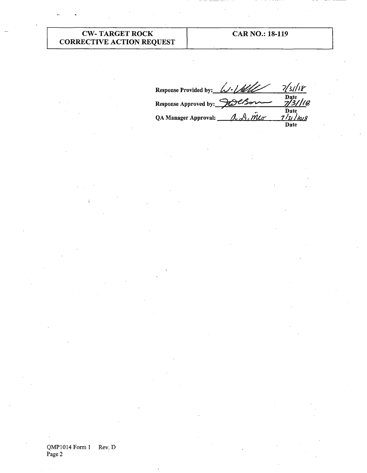CAR NO.: 18-119

Response Provided by:  $\mu/\ell$  /4 /18 Date Response Approved by: Date QA Manager Approval:  $\lambda\lambda\sin\theta$ Date